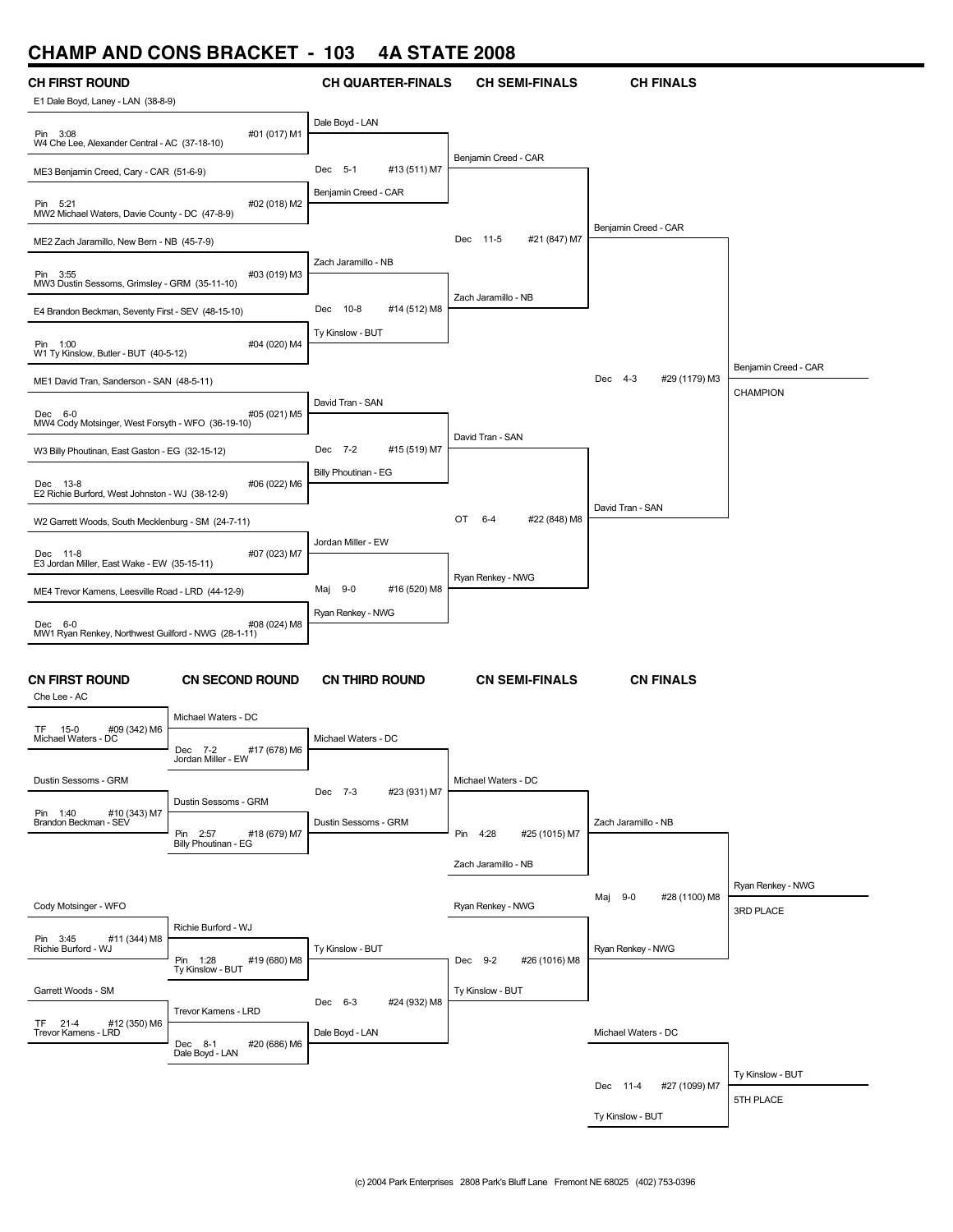## **CHAMP AND CONS BRACKET - 103 4A STATE 2008**

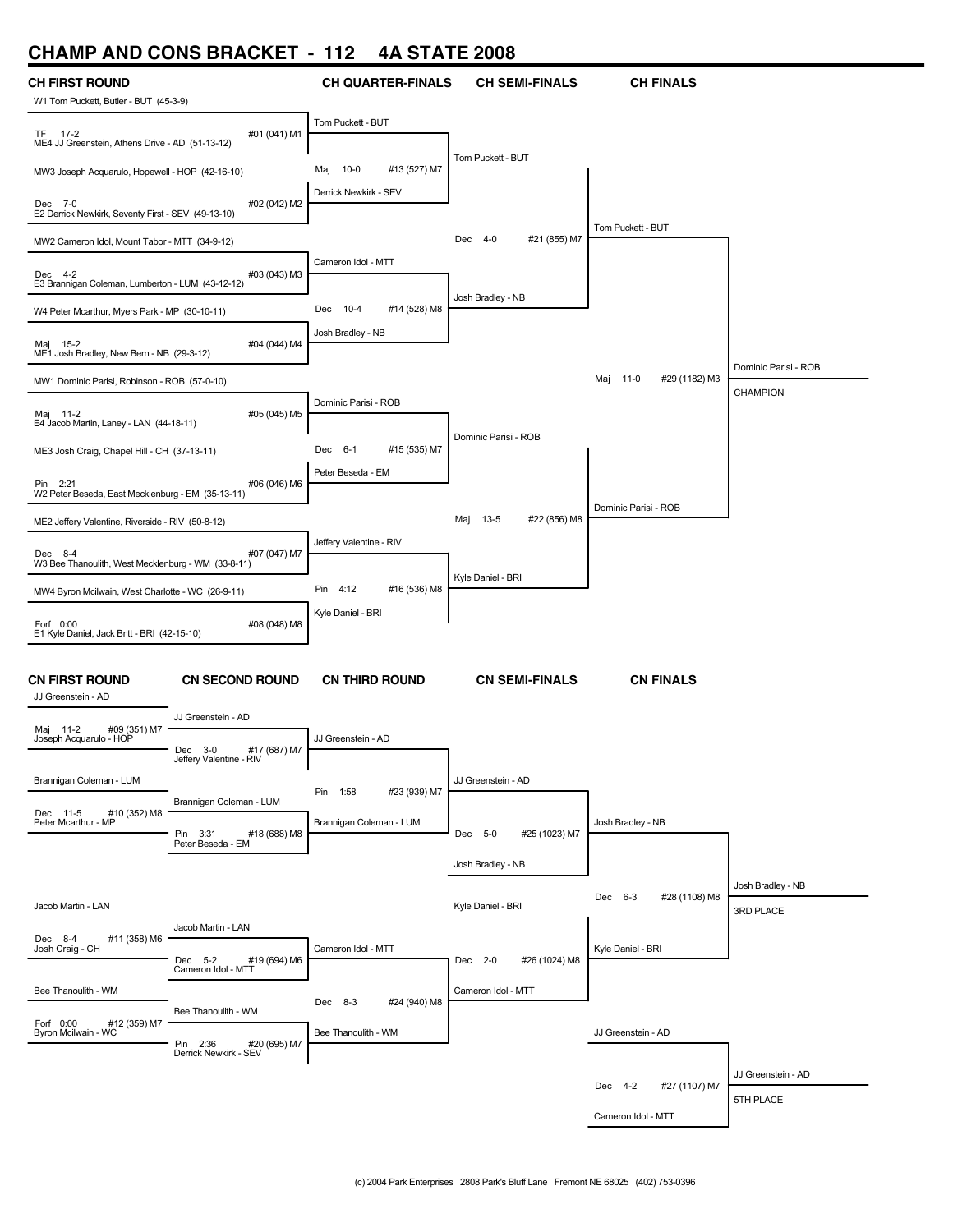### **CHAMP AND CONS BRACKET - 112 4A STATE 2008**

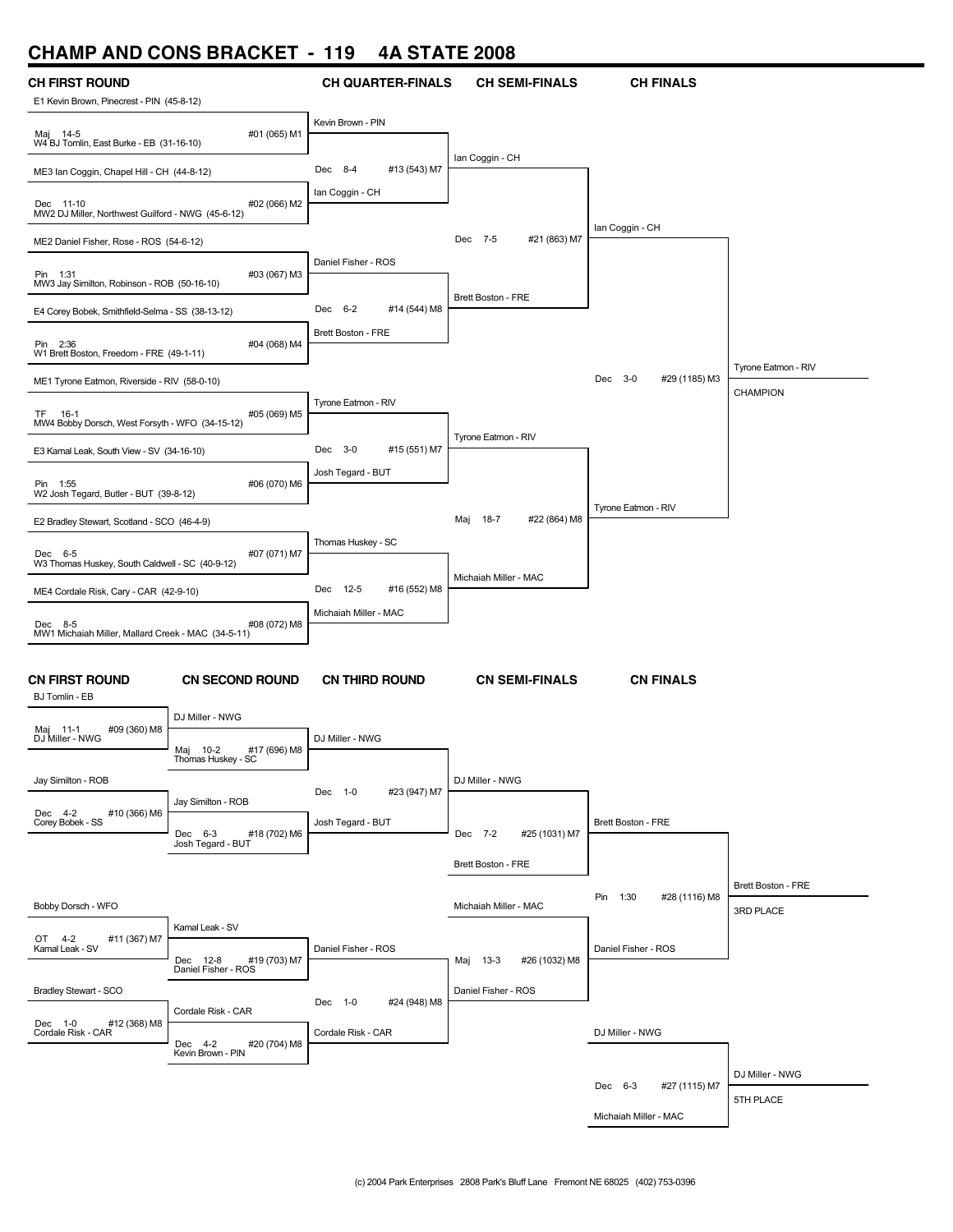# **CHAMP AND CONS BRACKET - 119 4A STATE 2008**

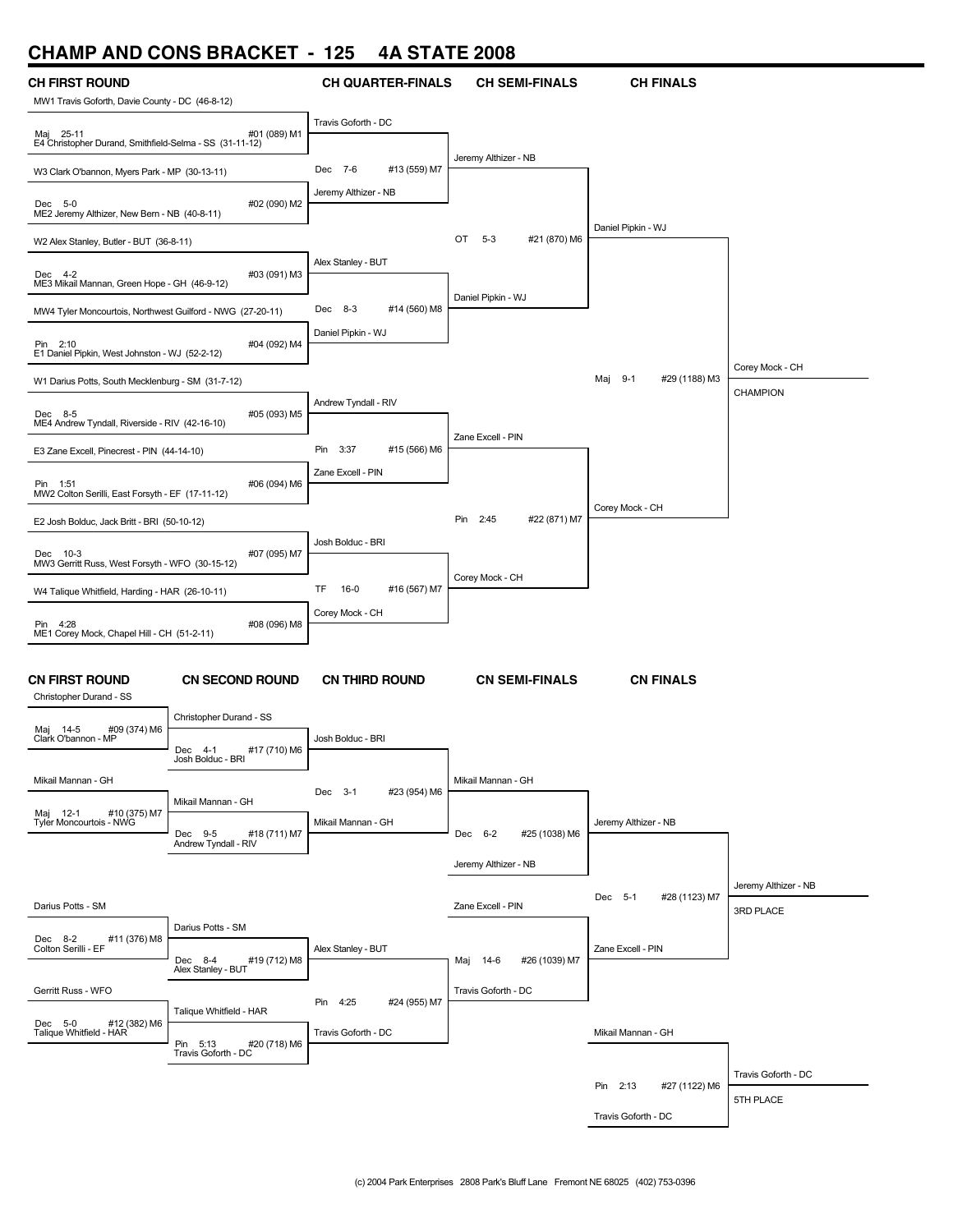# **CHAMP AND CONS BRACKET - 125 4A STATE 2008**

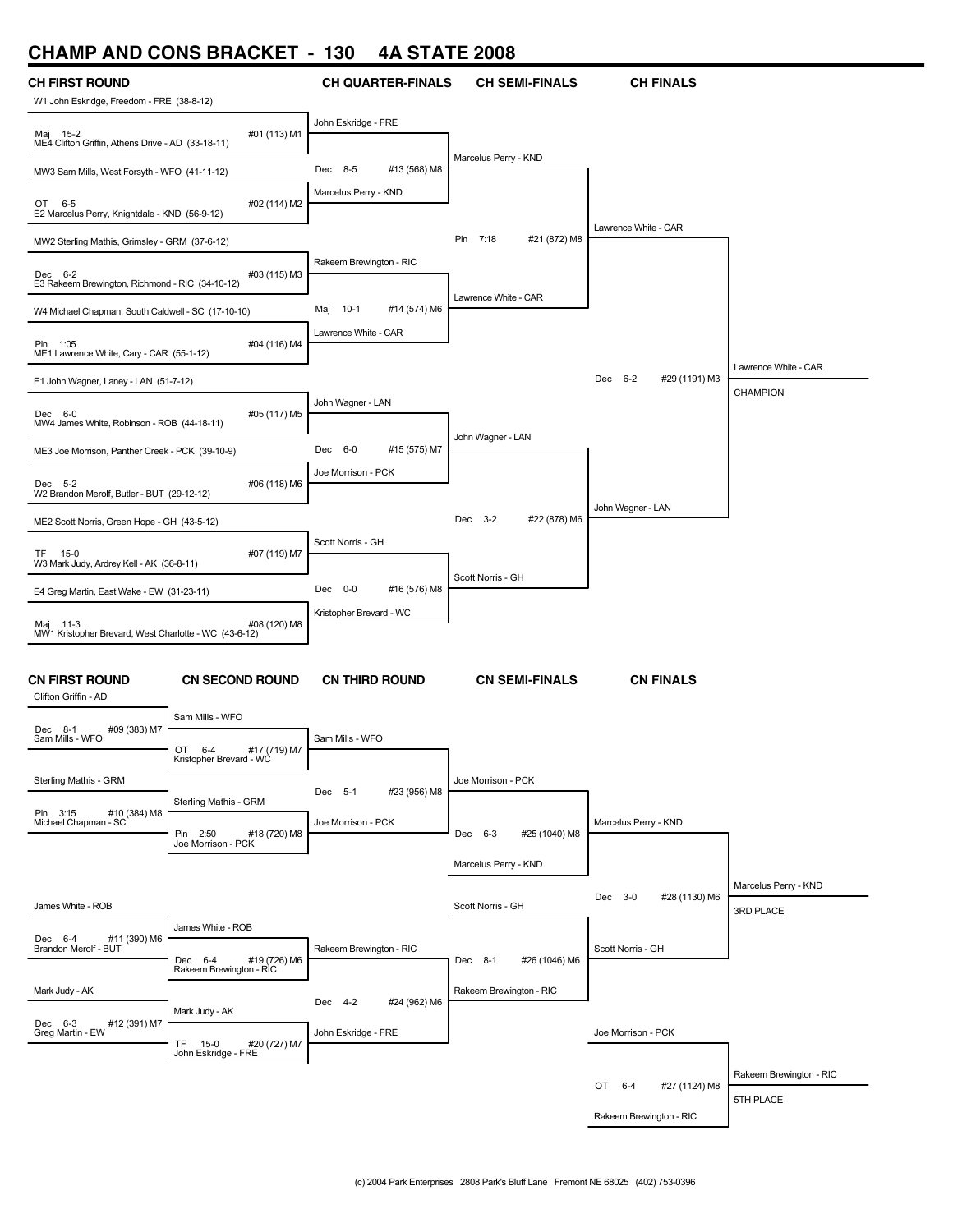# **CHAMP AND CONS BRACKET - 130 4A STATE 2008**

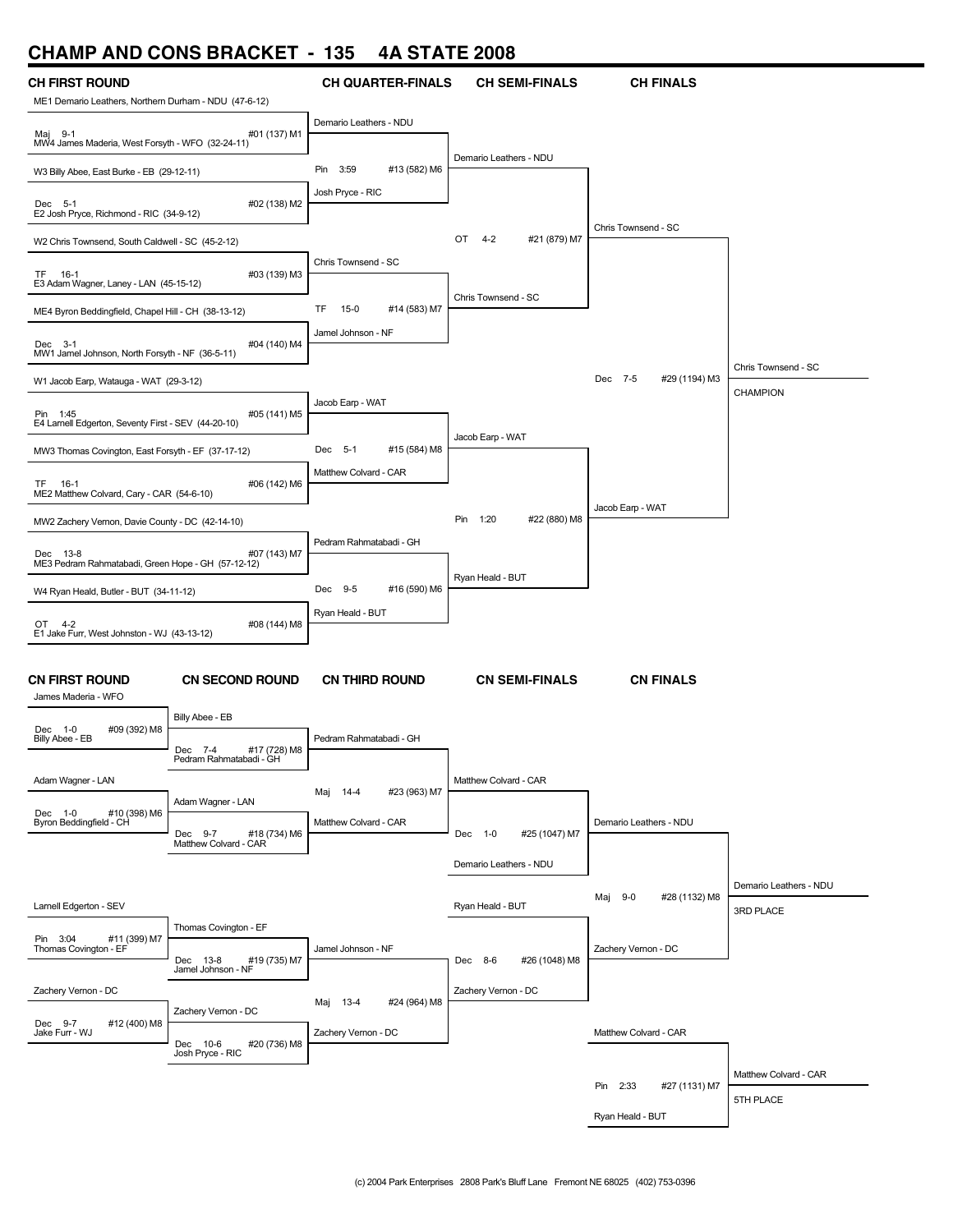## **CHAMP AND CONS BRACKET - 135 4A STATE 2008**

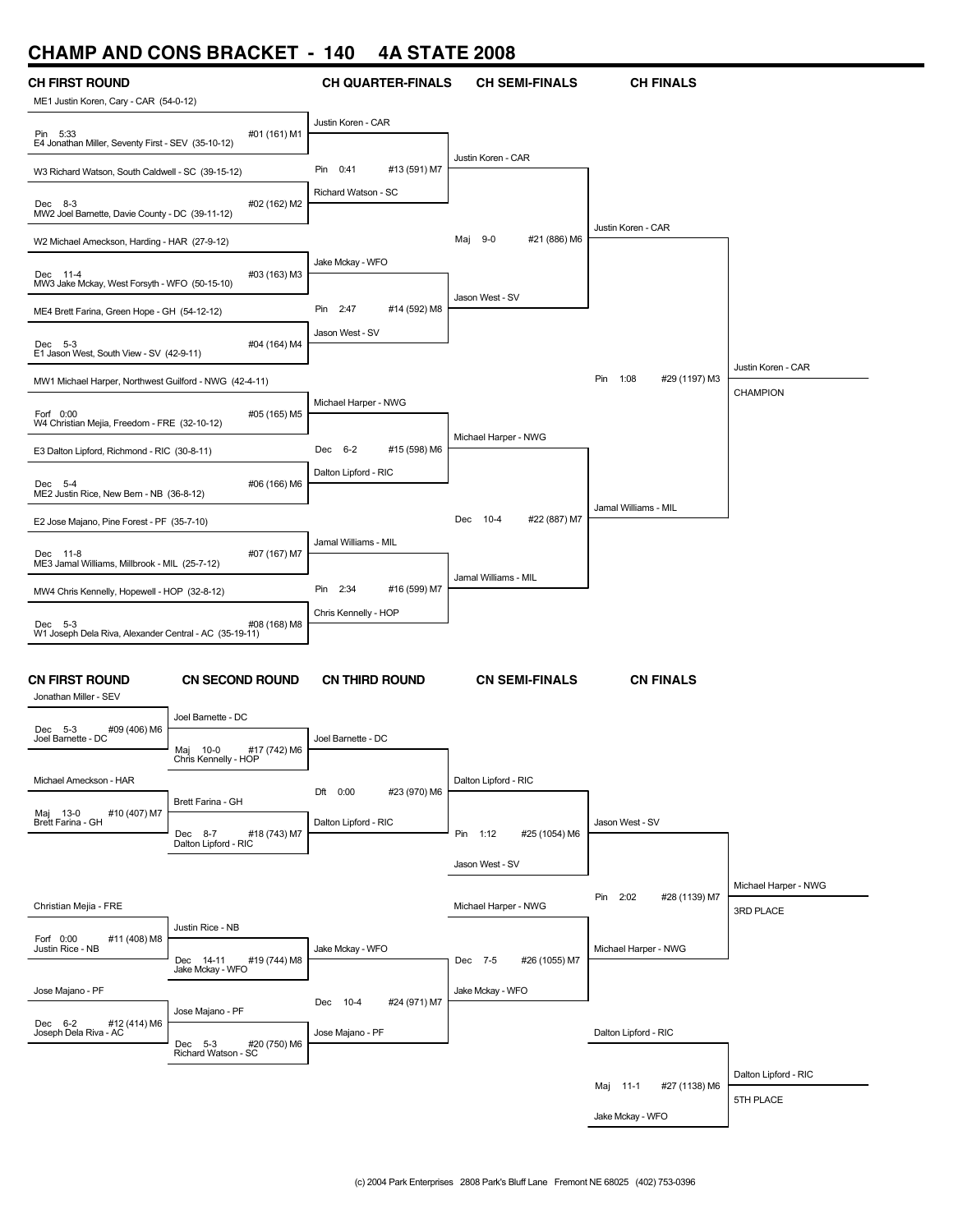## **CHAMP AND CONS BRACKET - 140 4A STATE 2008**

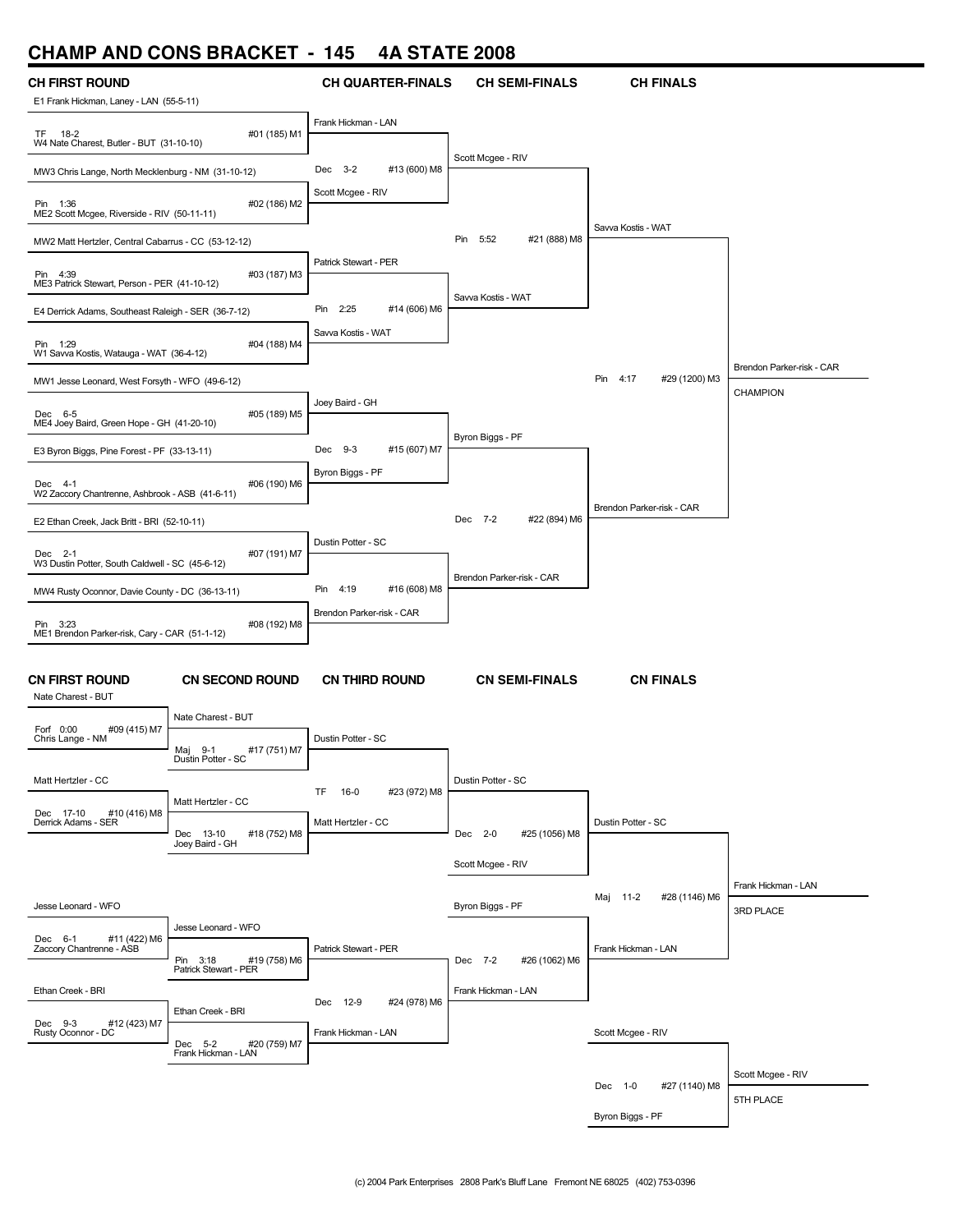#### **CHAMP AND CONS BRACKET - 145 4A STATE 2008**

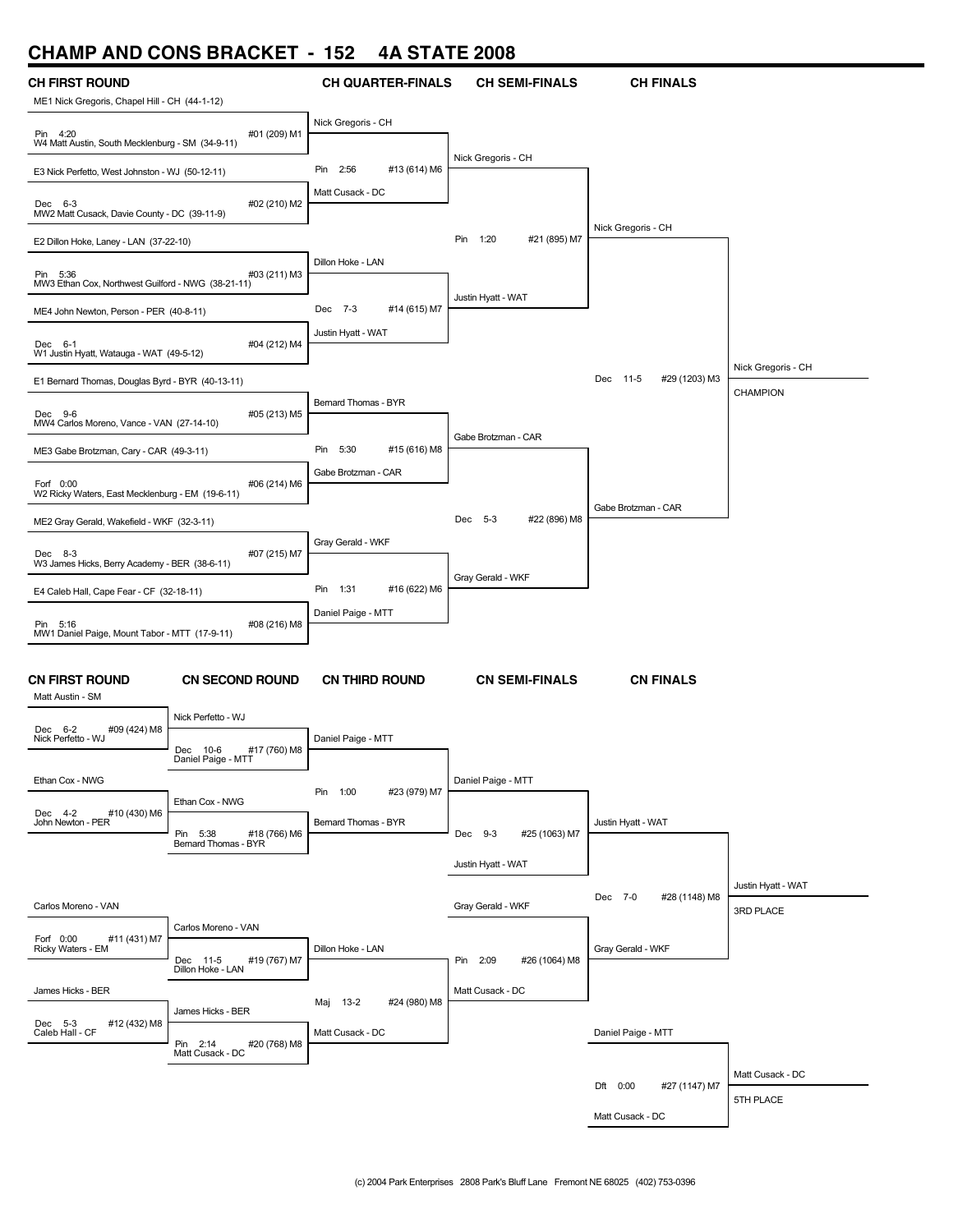### **CHAMP AND CONS BRACKET - 152 4A STATE 2008**

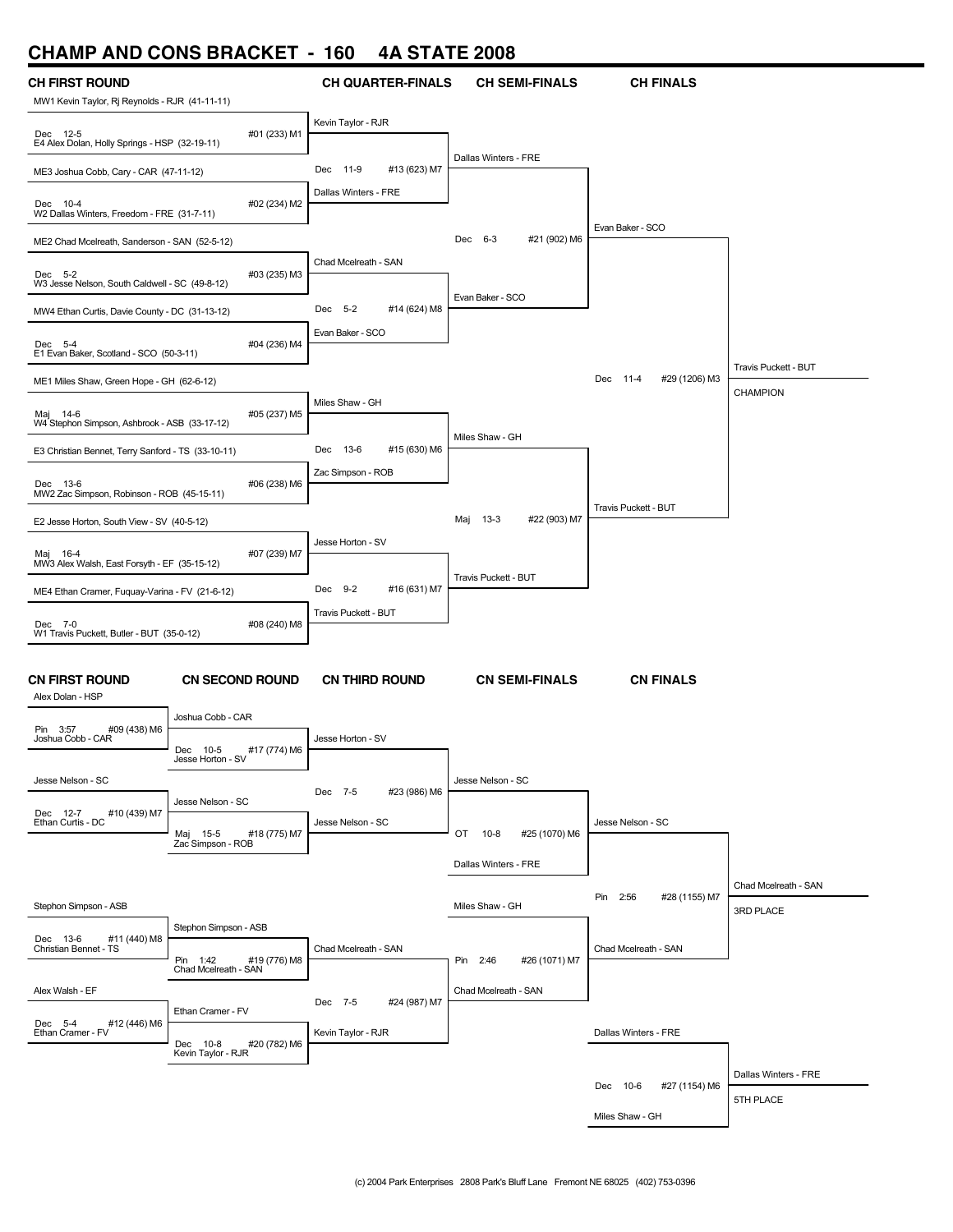## **CHAMP AND CONS BRACKET - 160 4A STATE 2008**

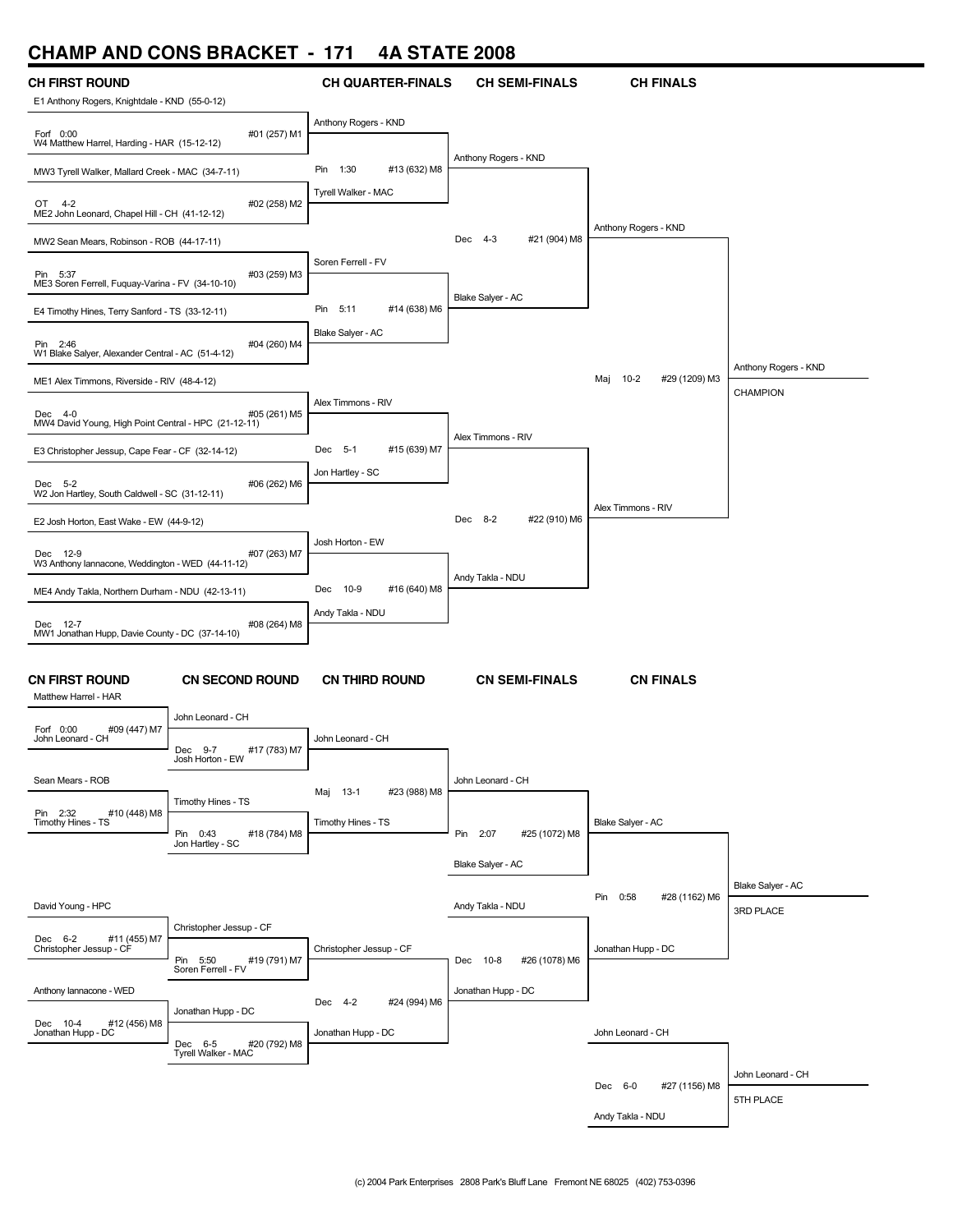# **CHAMP AND CONS BRACKET - 171 4A STATE 2008**

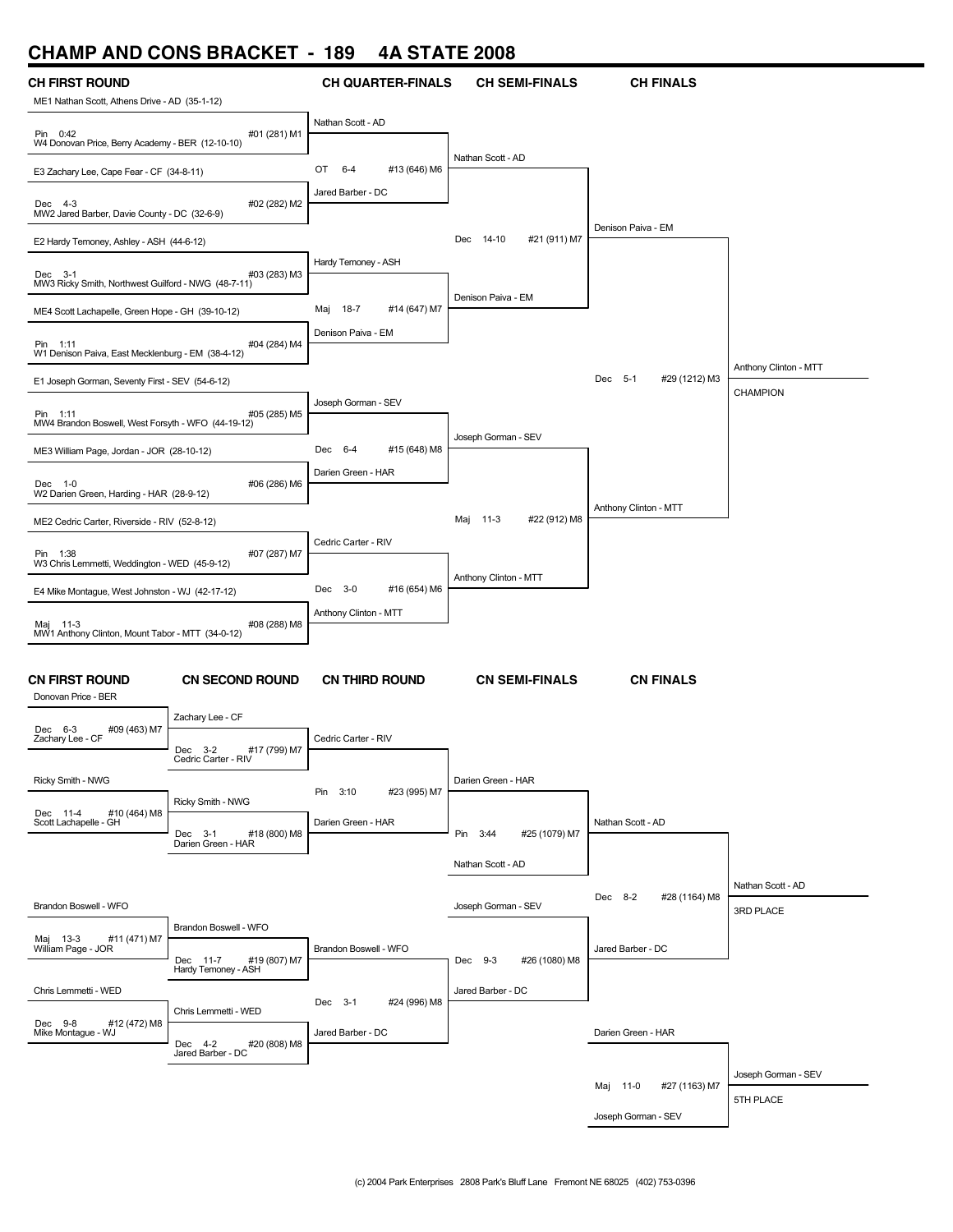### **CHAMP AND CONS BRACKET - 189 4A STATE 2008**

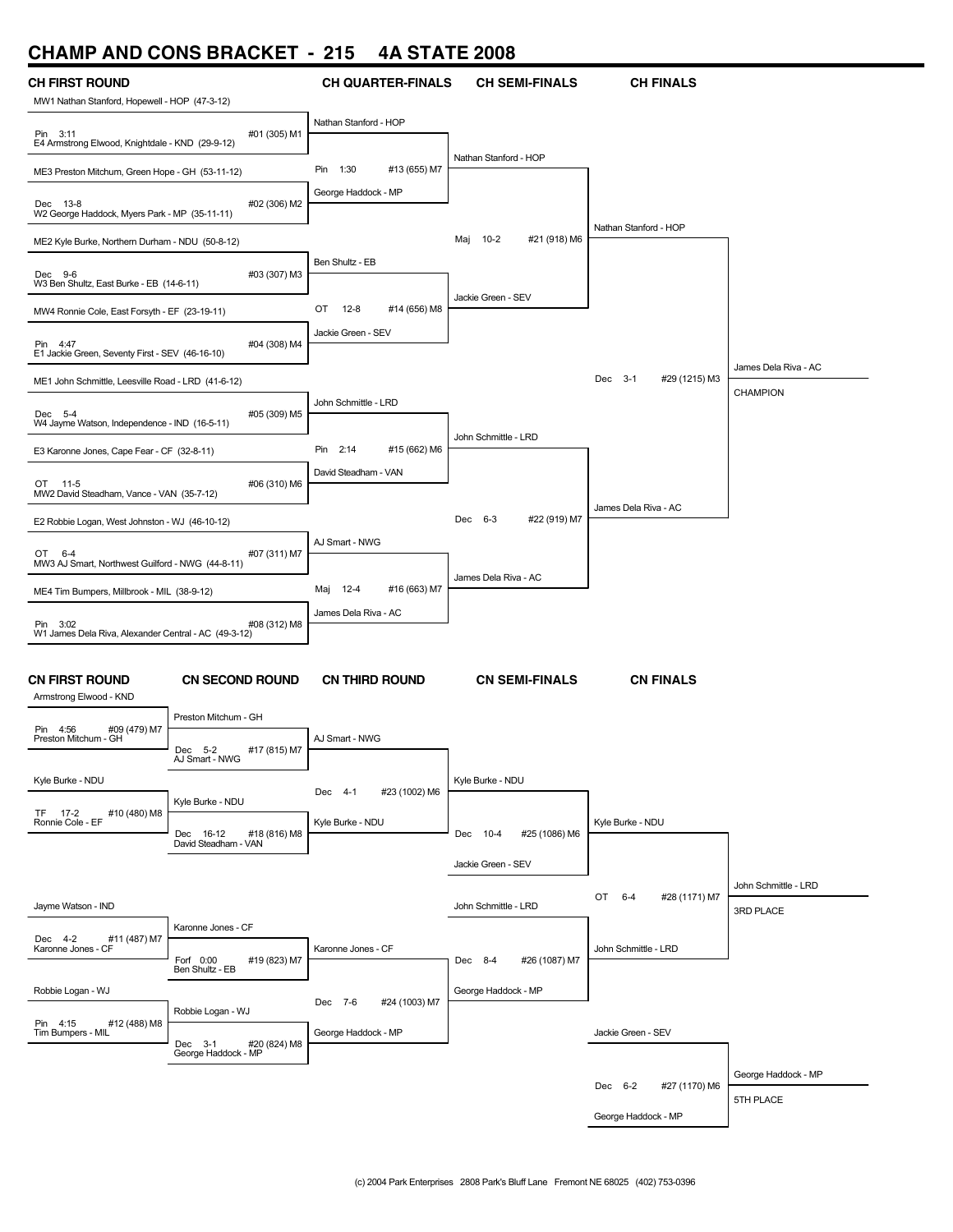# **CHAMP AND CONS BRACKET - 215 4A STATE 2008**